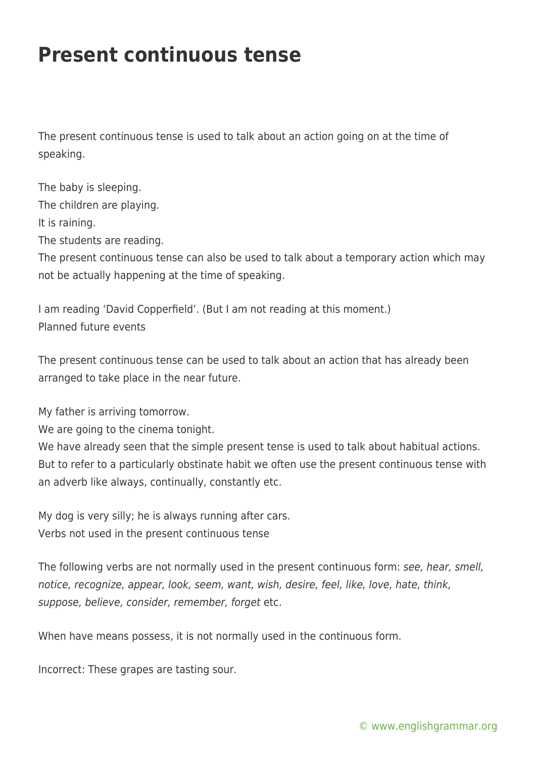## **Present continuous tense**

The present continuous tense is used to talk about an action going on at the time of speaking.

The baby is sleeping. The children are playing. It is raining. The students are reading. The present continuous tense can also be used to talk about a temporary action which may not be actually happening at the time of speaking.

I am reading 'David Copperfield'. (But I am not reading at this moment.) Planned future events

The present continuous tense can be used to talk about an action that has already been arranged to take place in the near future.

My father is arriving tomorrow.

We are going to the cinema tonight.

We have already seen that the simple present tense is used to talk about habitual actions. But to refer to a particularly obstinate habit we often use the present continuous tense with an adverb like always, continually, constantly etc.

My dog is very silly; he is always running after cars. Verbs not used in the present continuous tense

The following verbs are not normally used in the present continuous form: see, hear, smell, notice, recognize, appear, look, seem, want, wish, desire, feel, like, love, hate, think, suppose, believe, consider, remember, forget etc.

When have means possess, it is not normally used in the continuous form.

Incorrect: These grapes are tasting sour.